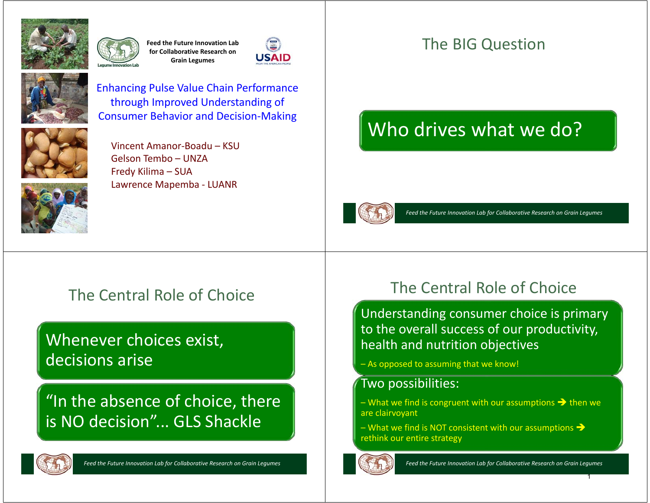

**Feed the Future Innovation Lab for Collaborative Research on Grain Legumes**





Enhancing Pulse Value Chain Performance through Improved Understanding of Consumer Behavior and Decision-Making



Vincent Amanor-Boadu – KSUGelson Tembo – UNZAFredy Kilima – SUA Lawrence Mapemba - LUANR



# The Central Role of Choice

### Whenever choices exist, decisions arise

"In the absence of choice, there is NO decision"... GLS Shackle



*Feed the Future Innovation Lab for Collaborative Research on Grain Legumes*

### The BIG Question

# Who drives what we do?



*Feed the Future Innovation Lab for Collaborative Research on Grain Legumes*

#### The Central Role of Choice

Understanding consumer choice is primary to the overall success of our productivity, health and nutrition objectives

– As opposed to assuming that we know!

#### Two possibilities:

– What we find is congruent with our assumptions  $\rightarrow$  then we are clairvoyant

– What we find is NOT consistent with our assumptions  $\rightarrow$ rethink our entire strategy



*Feed the Future Innovation Lab for Collaborative Research on Grain Legumes*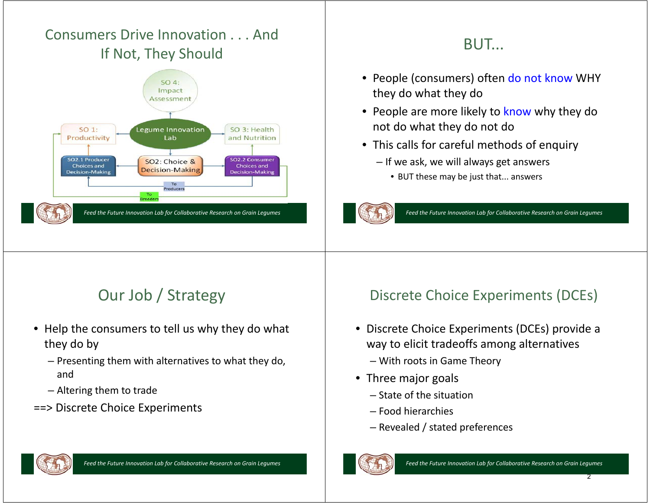#### Consumers Drive Innovation . . . And If Not, They Should



### BUT...

- People (consumers) often do not know WHY they do what they do
- People are more likely to know why they do not do what they do not do
- This calls for careful methods of enquiry
	- If we ask, we will always get answers
		- BUT these may be just that... answers



*Feed the Future Innovation Lab for Collaborative Research on Grain Legumes*

# Our Job / Strategy

- Help the consumers to tell us why they do what they do by
	- Presenting them with alternatives to what they do, and
	- Altering them to trade
- ==> Discrete Choice Experiments

#### Discrete Choice Experiments (DCEs)

- Discrete Choice Experiments (DCEs) provide a way to elicit tradeoffs among alternatives
	- With roots in Game Theory
- Three major goals
	- State of the situation
	- Food hierarchies
	- Revealed / stated preferences



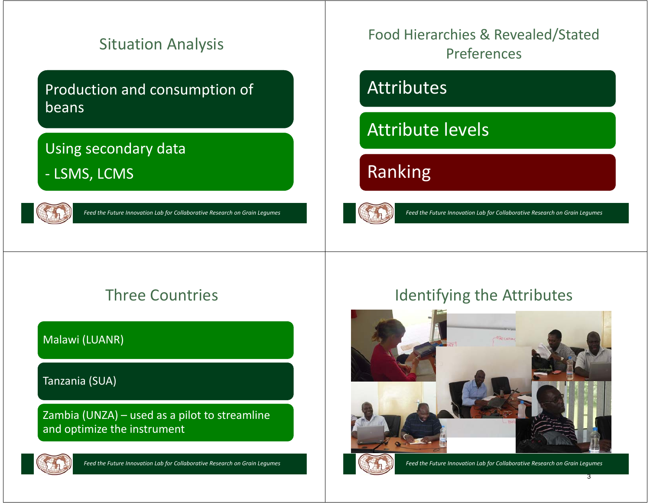### Situation Analysis

#### Production and consumption of beans

#### Using secondary data

- LSMS, LCMS



*Feed the Future Innovation Lab for Collaborative Research on Grain Legumes*

Food Hierarchies & Revealed/Stated Preferences

# Attributes

Attribute levels

# Ranking



*Feed the Future Innovation Lab for Collaborative Research on Grain Legumes*

### Three Countries

#### Malawi (LUANR)

#### Tanzania (SUA)

Zambia (UNZA) – used as a pilot to streamline and optimize the instrument



*Feed the Future Innovation Lab for Collaborative Research on Grain Legumes*

#### Identifying the Attributes

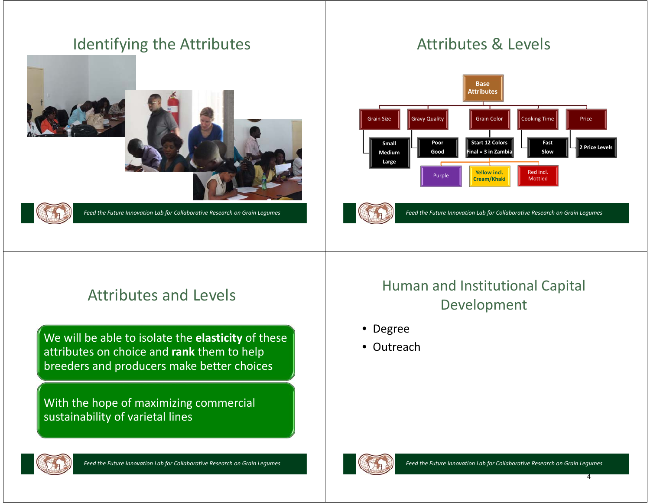#### Identifying the Attributes





*Feed the Future Innovation Lab for Collaborative Research on Grain Legumes*

## Attributes & Levels



*Feed the Future Innovation Lab for Collaborative Research on Grain Legumes*

### Attributes and Levels

We will be able to isolate the **elasticity** of these attributes on choice and **rank** them to help breeders and producers make better choices

With the hope of maximizing commercial sustainability of varietal lines

#### Human and Institutional Capital Development

- Degree
- Outreach



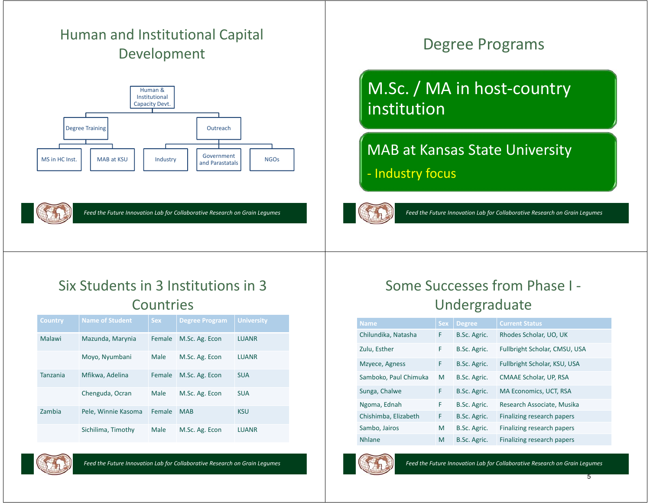#### Human and Institutional Capital Development





*Feed the Future Innovation Lab for Collaborative Research on Grain Legumes*

### Degree Programs

# M.Sc. / MA in host-country institution

#### MAB at Kansas State University

- Industry focus



*Feed the Future Innovation Lab for Collaborative Research on Grain Legumes*

#### Six Students in 3 Institutions in 3 **Countries**

| <b>Country</b>  | <b>Name of Student</b> | <b>Sex</b> | <b>Degree Program</b> | <b>University</b> |
|-----------------|------------------------|------------|-----------------------|-------------------|
| Malawi          | Mazunda, Marynia       | Female     | M.Sc. Ag. Econ        | <b>LUANR</b>      |
|                 | Moyo, Nyumbani         | Male       | M.Sc. Ag. Econ        | <b>LUANR</b>      |
| <b>Tanzania</b> | Mfikwa, Adelina        | Female     | M.Sc. Ag. Econ        | <b>SUA</b>        |
|                 | Chenguda, Ocran        | Male       | M.Sc. Ag. Econ        | <b>SUA</b>        |
| Zambia          | Pele, Winnie Kasoma    | Female     | <b>MAB</b>            | <b>KSU</b>        |
|                 | Sichilima, Timothy     | Male       | M.Sc. Ag. Econ        | <b>IUANR</b>      |

*Feed the Future Innovation Lab for Collaborative Research on Grain Legumes*

#### Some Successes from Phase I -Undergraduate

| <b>Name</b>           | <b>Sex</b> | <b>Degree</b> | <b>Current Status</b>         |
|-----------------------|------------|---------------|-------------------------------|
| Chilundika, Natasha   | F          | B.Sc. Agric.  | Rhodes Scholar, UO, UK        |
| Zulu, Esther          | F          | B.Sc. Agric.  | Fullbright Scholar, CMSU, USA |
| Mzyece, Agness        | F          | B.Sc. Agric.  | Fullbright Scholar, KSU, USA  |
| Samboko, Paul Chimuka | M          | B.Sc. Agric.  | CMAAE Scholar, UP, RSA        |
| Sunga, Chalwe         | F          | B.Sc. Agric.  | MA Economics, UCT, RSA        |
| Ngoma, Ednah          | F          | B.Sc. Agric.  | Research Associate, Musika    |
| Chishimba, Elizabeth  | F          | B.Sc. Agric.  | Finalizing research papers    |
| Sambo, Jairos         | M          | B.Sc. Agric.  | Finalizing research papers    |
| <b>Nhlane</b>         | M          | B.Sc. Agric.  | Finalizing research papers    |



*Feed the Future Innovation Lab for Collaborative Research on Grain Legumes*